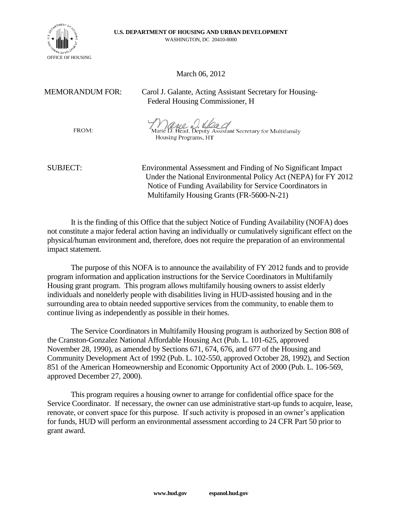

## March 06, 2012

MEMORANDUM FOR: Carol J. Galante, Acting Assistant Secretary for Housing- Federal Housing Commissioner, H

FROM:

Marie B. Head, Deputy Assistant Secretary for Multifamily Housing Programs, HT

SUBJECT: Environmental Assessment and Finding of No Significant Impact Under the National Environmental Policy Act (NEPA) for FY 2012 Notice of Funding Availability for Service Coordinators in Multifamily Housing Grants (FR-5600-N-21)

It is the finding of this Office that the subject Notice of Funding Availability (NOFA) does not constitute a major federal action having an individually or cumulatively significant effect on the physical/human environment and, therefore, does not require the preparation of an environmental impact statement.

The purpose of this NOFA is to announce the availability of FY 2012 funds and to provide program information and application instructions for the Service Coordinators in Multifamily Housing grant program. This program allows multifamily housing owners to assist elderly individuals and nonelderly people with disabilities living in HUD-assisted housing and in the surrounding area to obtain needed supportive services from the community, to enable them to continue living as independently as possible in their homes.

The Service Coordinators in Multifamily Housing program is authorized by Section 808 of the Cranston-Gonzalez National Affordable Housing Act (Pub. L. 101-625, approved November 28, 1990), as amended by Sections 671, 674, 676, and 677 of the Housing and Community Development Act of 1992 (Pub. L. 102-550, approved October 28, 1992), and Section 851 of the American Homeownership and Economic Opportunity Act of 2000 (Pub. L. 106-569, approved December 27, 2000).

This program requires a housing owner to arrange for confidential office space for the Service Coordinator. If necessary, the owner can use administrative start-up funds to acquire, lease, renovate, or convert space for this purpose. If such activity is proposed in an owner's application for funds, HUD will perform an environmental assessment according to 24 CFR Part 50 prior to grant award.